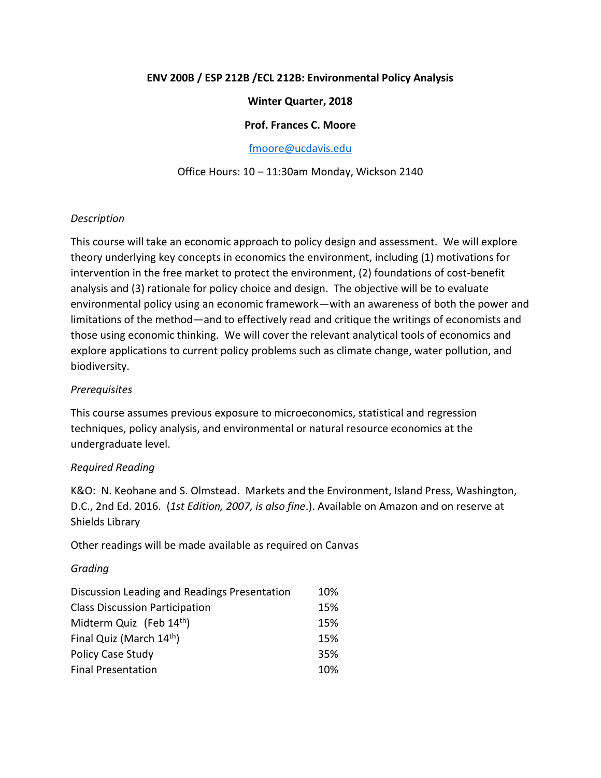## **ENV 200B / ESP 212B /ECL 212B: Environmental Policy Analysis**

### **Winter Quarter, 2018**

### **Prof. Frances C. Moore**

[fmoore@ucdavis.edu](mailto:fmoore@ucdavis.edu)

### Office Hours: 10 – 11:30am Monday, Wickson 2140

### *Description*

This course will take an economic approach to policy design and assessment. We will explore theory underlying key concepts in economics the environment, including (1) motivations for intervention in the free market to protect the environment, (2) foundations of cost-benefit analysis and (3) rationale for policy choice and design. The objective will be to evaluate environmental policy using an economic framework—with an awareness of both the power and limitations of the method—and to effectively read and critique the writings of economists and those using economic thinking. We will cover the relevant analytical tools of economics and explore applications to current policy problems such as climate change, water pollution, and biodiversity.

### *Prerequisites*

This course assumes previous exposure to microeconomics, statistical and regression techniques, policy analysis, and environmental or natural resource economics at the undergraduate level.

### *Required Reading*

K&O: N. Keohane and S. Olmstead. Markets and the Environment, Island Press, Washington, D.C., 2nd Ed. 2016. (*1st Edition, 2007, is also fine*.). Available on Amazon and on reserve at Shields Library

Other readings will be made available as required on Canvas

### *Grading*

| Discussion Leading and Readings Presentation | 10% |
|----------------------------------------------|-----|
| <b>Class Discussion Participation</b>        | 15% |
| Midterm Quiz (Feb 14 <sup>th</sup> )         | 15% |
| Final Quiz (March 14 <sup>th</sup> )         | 15% |
| <b>Policy Case Study</b>                     | 35% |
| <b>Final Presentation</b>                    | 10% |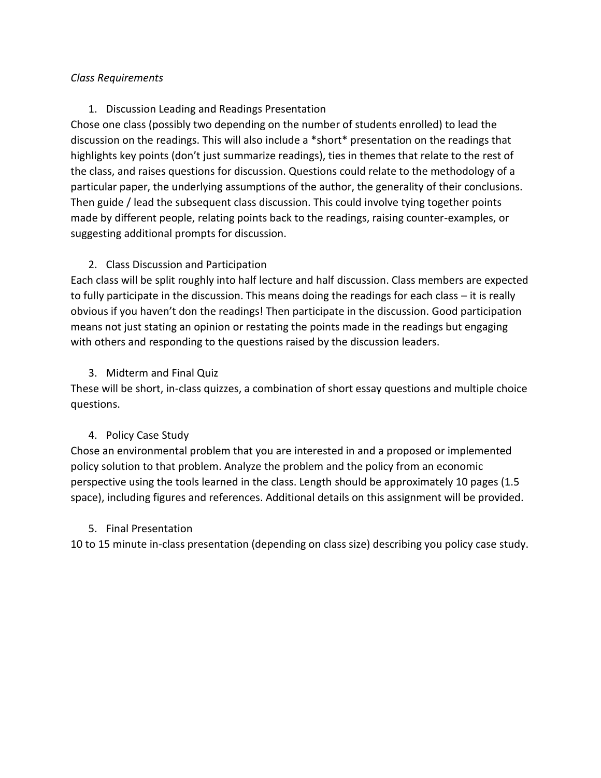# *Class Requirements*

# 1. Discussion Leading and Readings Presentation

Chose one class (possibly two depending on the number of students enrolled) to lead the discussion on the readings. This will also include a \*short\* presentation on the readings that highlights key points (don't just summarize readings), ties in themes that relate to the rest of the class, and raises questions for discussion. Questions could relate to the methodology of a particular paper, the underlying assumptions of the author, the generality of their conclusions. Then guide / lead the subsequent class discussion. This could involve tying together points made by different people, relating points back to the readings, raising counter-examples, or suggesting additional prompts for discussion.

# 2. Class Discussion and Participation

Each class will be split roughly into half lecture and half discussion. Class members are expected to fully participate in the discussion. This means doing the readings for each class – it is really obvious if you haven't don the readings! Then participate in the discussion. Good participation means not just stating an opinion or restating the points made in the readings but engaging with others and responding to the questions raised by the discussion leaders.

# 3. Midterm and Final Quiz

These will be short, in-class quizzes, a combination of short essay questions and multiple choice questions.

# 4. Policy Case Study

Chose an environmental problem that you are interested in and a proposed or implemented policy solution to that problem. Analyze the problem and the policy from an economic perspective using the tools learned in the class. Length should be approximately 10 pages (1.5 space), including figures and references. Additional details on this assignment will be provided.

# 5. Final Presentation

10 to 15 minute in-class presentation (depending on class size) describing you policy case study.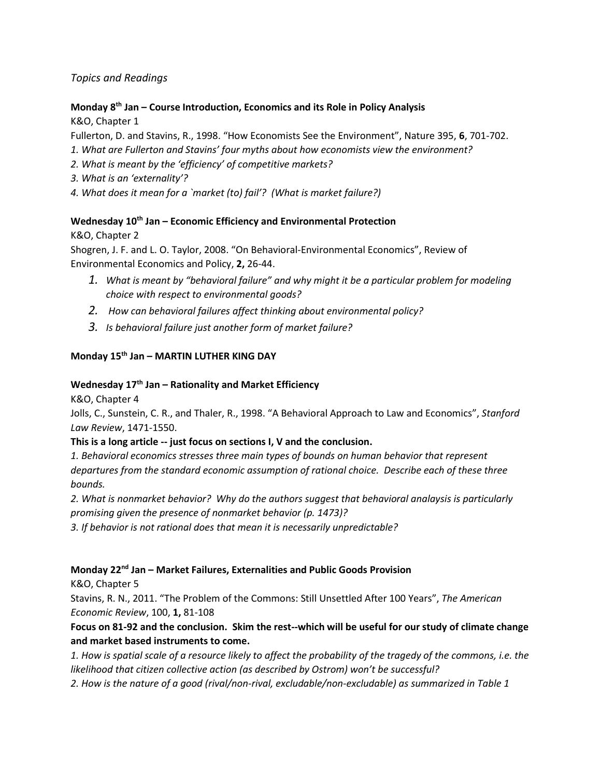## *Topics and Readings*

### **Monday 8th Jan – Course Introduction, Economics and its Role in Policy Analysis**

K&O, Chapter 1

Fullerton, D. and Stavins, R., 1998. "How Economists See the Environment", Nature 395, **6**, 701-702.

*1. What are Fullerton and Stavins' four myths about how economists view the environment?*

*2. What is meant by the 'efficiency' of competitive markets?*

*3. What is an 'externality'?*

*4. What does it mean for a `market (to) fail'? (What is market failure?)*

### **Wednesday 10th Jan – Economic Efficiency and Environmental Protection**

K&O, Chapter 2

Shogren, J. F. and L. O. Taylor, 2008. "On Behavioral-Environmental Economics", Review of Environmental Economics and Policy, **2,** 26-44.

- *1. What is meant by "behavioral failure" and why might it be a particular problem for modeling choice with respect to environmental goods?*
- *2. How can behavioral failures affect thinking about environmental policy?*
- *3. Is behavioral failure just another form of market failure?*

### **Monday 15th Jan – MARTIN LUTHER KING DAY**

### **Wednesday 17th Jan – Rationality and Market Efficiency**

K&O, Chapter 4

Jolls, C., Sunstein, C. R., and Thaler, R., 1998. "A Behavioral Approach to Law and Economics", *Stanford Law Review*, 1471-1550.

#### **This is a long article -- just focus on sections I, V and the conclusion.**

*1. Behavioral economics stresses three main types of bounds on human behavior that represent departures from the standard economic assumption of rational choice. Describe each of these three bounds.*

*2. What is nonmarket behavior? Why do the authors suggest that behavioral analaysis is particularly promising given the presence of nonmarket behavior (p. 1473)?*

*3. If behavior is not rational does that mean it is necessarily unpredictable?*

#### **Monday 22nd Jan – Market Failures, Externalities and Public Goods Provision**

K&O, Chapter 5

Stavins, R. N., 2011. "The Problem of the Commons: Still Unsettled After 100 Years", *The American Economic Review*, 100, **1,** 81-108

**Focus on 81-92 and the conclusion. Skim the rest--which will be useful for our study of climate change and market based instruments to come.**

*1. How is spatial scale of a resource likely to affect the probability of the tragedy of the commons, i.e. the likelihood that citizen collective action (as described by Ostrom) won't be successful?*

*2. How is the nature of a good (rival/non-rival, excludable/non-excludable) as summarized in Table 1*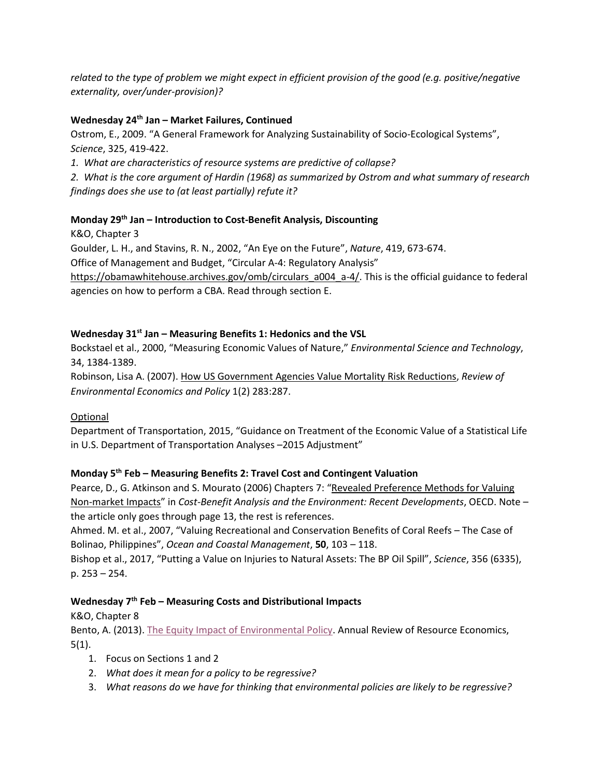*related to the type of problem we might expect in efficient provision of the good (e.g. positive/negative externality, over/under-provision)?*

### **Wednesday 24th Jan – Market Failures, Continued**

Ostrom, E., 2009. "A General Framework for Analyzing Sustainability of Socio-Ecological Systems", *Science*, 325, 419-422.

*1. What are characteristics of resource systems are predictive of collapse?*

*2. What is the core argument of Hardin (1968) as summarized by Ostrom and what summary of research findings does she use to (at least partially) refute it?*

### **Monday 29th Jan – Introduction to Cost-Benefit Analysis, Discounting**

K&O, Chapter 3

Goulder, L. H., and Stavins, R. N., 2002, "An Eye on the Future", *Nature*, 419, 673-674.

Office of Management and Budget, "Circular A-4: Regulatory Analysis"

[https://obamawhitehouse.archives.gov/omb/circulars\\_a004\\_a-4/.](https://obamawhitehouse.archives.gov/omb/circulars_a004_a-4/) This is the official guidance to federal agencies on how to perform a CBA. Read through section E.

### **Wednesday 31st Jan – Measuring Benefits 1: Hedonics and the VSL**

Bockstael et al., 2000, "Measuring Economic Values of Nature," *Environmental Science and Technology*, 34, 1384-1389.

Robinson, Lisa A. (2007). [How US Government Agencies Value Mortality Risk Reductions,](http://reep.oxfordjournals.org/cgi/content/short/1/2/283) *Review of Environmental Economics and Policy* 1(2) 283:287.

### Optional

Department of Transportation, 2015, "Guidance on Treatment of the Economic Value of a Statistical Life in U.S. Department of Transportation Analyses –2015 Adjustment"

#### **Monday 5th Feb – Measuring Benefits 2: Travel Cost and Contingent Valuation**

Pearce, D., G. Atkinson and S. Mourato (2006) Chapters 7: "Revealed Preference Methods for Valuing [Non-market Impacts](http://www.oecd-ilibrary.org/revealed-preference-methods-for-valuing-non-market-impacts_5l9ssgd13ftl.pdf?contentType=&itemId=/content/chapter/9789264010055-8-en&containerItemId=/content/book/9789264010055-en&accessItemIds=/content/book/9789264010055-en&mimeType=application/pdf)" in *Cost-Benefit Analysis and the Environment: Recent Developments*, OECD. Note – the article only goes through page 13, the rest is references.

Ahmed. M. et al., 2007, "Valuing Recreational and Conservation Benefits of Coral Reefs – The Case of Bolinao, Philippines", *Ocean and Coastal Management*, **50**, 103 – 118.

Bishop et al., 2017, "Putting a Value on Injuries to Natural Assets: The BP Oil Spill", *Science*, 356 (6335), p. 253 – 254.

#### **Wednesday 7th Feb – Measuring Costs and Distributional Impacts**

K&O, Chapter 8

Bento, A. (2013). [The Equity Impact of Environmental Policy.](http://www.annualreviews.org/doi/full/10.1146/annurev-resource-091912-151925) Annual Review of Resource Economics,  $5(1)$ .

- 1. Focus on Sections 1 and 2
- 2. *What does it mean for a policy to be regressive?*
- 3. *What reasons do we have for thinking that environmental policies are likely to be regressive?*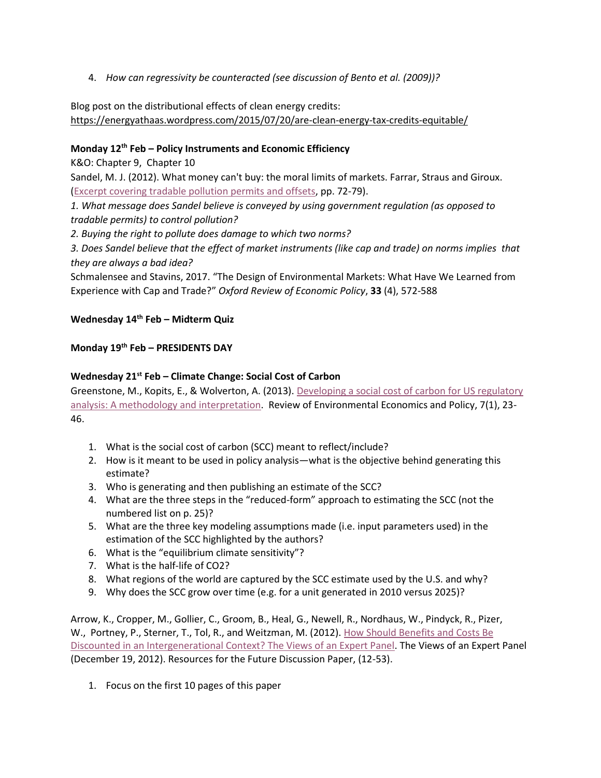4. *How can regressivity be counteracted (see discussion of Bento et al. (2009))?*

Blog post on the distributional effects of clean energy credits: <https://energyathaas.wordpress.com/2015/07/20/are-clean-energy-tax-credits-equitable/>

# **Monday 12th Feb – Policy Instruments and Economic Efficiency**

K&O: Chapter 9, Chapter 10

Sandel, M. J. (2012). What money can't buy: the moral limits of markets. Farrar, Straus and Giroux. (Excerpt [covering tradable pollution permits and offsets,](https://smartsite.ucdavis.edu/access/content/group/d3dd1351-deb3-461d-8184-221669197963/Readings/Sandel%20--%20Tradable%20pollution%20permits%20and%20offsets%20--%20excerpt%20from%20What%20Money%20Can_t%20Buy.pdf) pp. 72-79).

*1. What message does Sandel believe is conveyed by using government regulation (as opposed to tradable permits) to control pollution?*

*2. Buying the right to pollute does damage to which two norms?*

*3. Does Sandel believe that the effect of market instruments (like cap and trade) on norms implies that they are always a bad idea?*

Schmalensee and Stavins, 2017. "The Design of Environmental Markets: What Have We Learned from Experience with Cap and Trade?" *Oxford Review of Economic Policy*, **33** (4), 572-588

### **Wednesday 14th Feb – Midterm Quiz**

### **Monday 19th Feb – PRESIDENTS DAY**

# **Wednesday 21st Feb – Climate Change: Social Cost of Carbon**

Greenstone, M., Kopits, E., & Wolverton, A. (2013). [Developing a social cost of carbon for US regulatory](http://reep.oxfordjournals.org/content/7/1/23.short)  [analysis: A methodology and interpretation.](http://reep.oxfordjournals.org/content/7/1/23.short) Review of Environmental Economics and Policy, 7(1), 23-46.

- 1. What is the social cost of carbon (SCC) meant to reflect/include?
- 2. How is it meant to be used in policy analysis—what is the objective behind generating this estimate?
- 3. Who is generating and then publishing an estimate of the SCC?
- 4. What are the three steps in the "reduced-form" approach to estimating the SCC (not the numbered list on p. 25)?
- 5. What are the three key modeling assumptions made (i.e. input parameters used) in the estimation of the SCC highlighted by the authors?
- 6. What is the "equilibrium climate sensitivity"?
- 7. What is the half-life of CO2?
- 8. What regions of the world are captured by the SCC estimate used by the U.S. and why?
- 9. Why does the SCC grow over time (e.g. for a unit generated in 2010 versus 2025)?

Arrow, K., Cropper, M., Gollier, C., Groom, B., Heal, G., Newell, R., Nordhaus, W., Pindyck, R., Pizer, W., Portney, P., Sterner, T., Tol, R., and Weitzman, M. (2012). [How Should Benefits and Costs Be](http://papers.ssrn.com/sol3/Delivery.cfm/SSRN_ID2199511_code1108470.pdf?abstractid=2199511&mirid=5)  [Discounted in an Intergenerational Context? The Views of an Expert Panel.](http://papers.ssrn.com/sol3/Delivery.cfm/SSRN_ID2199511_code1108470.pdf?abstractid=2199511&mirid=5) The Views of an Expert Panel (December 19, 2012). Resources for the Future Discussion Paper, (12-53).

1. Focus on the first 10 pages of this paper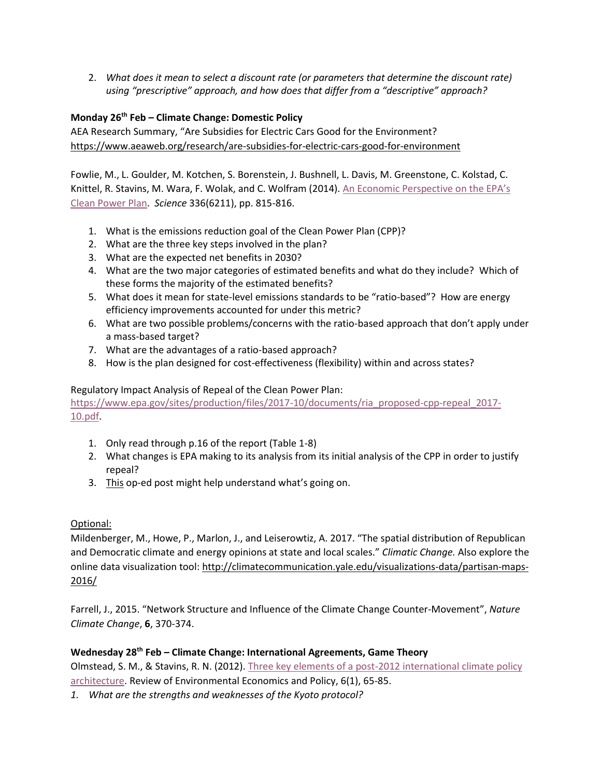2. *What does it mean to select a discount rate (or parameters that determine the discount rate) using "prescriptive" approach, and how does that differ from a "descriptive" approach?*

### **Monday 26th Feb – Climate Change: Domestic Policy**

AEA Research Summary, "Are Subsidies for Electric Cars Good for the Environment? <https://www.aeaweb.org/research/are-subsidies-for-electric-cars-good-for-environment>

Fowlie, M., L. Goulder, M. Kotchen, S. Borenstein, J. Bushnell, L. Davis, M. Greenstone, C. Kolstad, C. Knittel, R. Stavins, M. Wara, F. Wolak, and C. Wolfram (2014). An Economic Perspective on the EPA's [Clean Power Plan.](http://www.sciencemag.org/content/346/6211/815.full) *Science* 336(6211), pp. 815-816.

- 1. What is the emissions reduction goal of the Clean Power Plan (CPP)?
- 2. What are the three key steps involved in the plan?
- 3. What are the expected net benefits in 2030?
- 4. What are the two major categories of estimated benefits and what do they include? Which of these forms the majority of the estimated benefits?
- 5. What does it mean for state-level emissions standards to be "ratio-based"? How are energy efficiency improvements accounted for under this metric?
- 6. What are two possible problems/concerns with the ratio-based approach that don't apply under a mass-based target?
- 7. What are the advantages of a ratio-based approach?
- 8. How is the plan designed for cost-effectiveness (flexibility) within and across states?

### Regulatory Impact Analysis of Repeal of the Clean Power Plan:

[https://www.epa.gov/sites/production/files/2017-10/documents/ria\\_proposed-cpp-repeal\\_2017-](https://www.epa.gov/sites/production/files/2017-10/documents/ria_proposed-cpp-repeal_2017-10.pdf) [10.pdf.](https://www.epa.gov/sites/production/files/2017-10/documents/ria_proposed-cpp-repeal_2017-10.pdf)

- 1. Only read through p.16 of the report (Table 1-8)
- 2. What changes is EPA making to its analysis from its initial analysis of the CPP in order to justify repeal?
- 3. [This](1.%09https:/www.nytimes.com/2017/10/09/opinion/environmental-protection-obama-pruitt.html?_r=0) op-ed post might help understand what's going on.

#### Optional:

Mildenberger, M., Howe, P., Marlon, J., and Leiserowtiz, A. 2017. "The spatial distribution of Republican and Democratic climate and energy opinions at state and local scales." *Climatic Change.* Also explore the online data visualization tool: [http://climatecommunication.yale.edu/visualizations-data/partisan-maps-](http://climatecommunication.yale.edu/visualizations-data/partisan-maps-2016/)[2016/](http://climatecommunication.yale.edu/visualizations-data/partisan-maps-2016/)

Farrell, J., 2015. "Network Structure and Influence of the Climate Change Counter-Movement", *Nature Climate Change*, **6**, 370-374.

#### **Wednesday 28th Feb – Climate Change: International Agreements, Game Theory**

Olmstead, S. M., & Stavins, R. N. (2012). [Three key elements of a post-2012 international climate policy](http://reep.oxfordjournals.org/content/6/1/65.short)  [architecture.](http://reep.oxfordjournals.org/content/6/1/65.short) Review of Environmental Economics and Policy, 6(1), 65-85.

*1. What are the strengths and weaknesses of the Kyoto protocol?*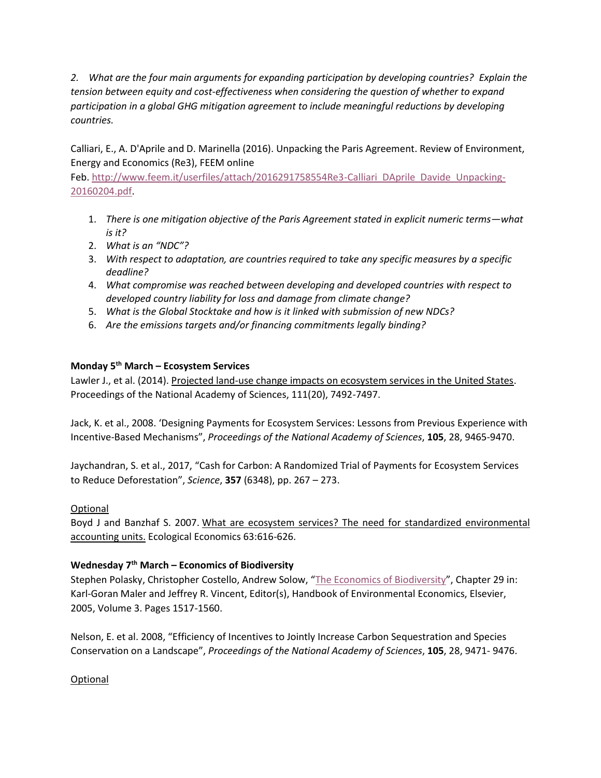*2. What are the four main arguments for expanding participation by developing countries? Explain the tension between equity and cost-effectiveness when considering the question of whether to expand participation in a global GHG mitigation agreement to include meaningful reductions by developing countries.* 

Calliari, E., A. D'Aprile and D. Marinella (2016). Unpacking the Paris Agreement. Review of Environment, Energy and Economics (Re3), FEEM online

Feb. [http://www.feem.it/userfiles/attach/2016291758554Re3-Calliari\\_DAprile\\_Davide\\_Unpacking-](http://www.feem.it/userfiles/attach/2016291758554Re3-Calliari_DAprile_Davide_Unpacking-20160204.pdf)[20160204.pdf.](http://www.feem.it/userfiles/attach/2016291758554Re3-Calliari_DAprile_Davide_Unpacking-20160204.pdf)

- 1. *There is one mitigation objective of the Paris Agreement stated in explicit numeric terms—what is it?*
- 2. *What is an "NDC"?*
- 3. *With respect to adaptation, are countries required to take any specific measures by a specific deadline?*
- 4. *What compromise was reached between developing and developed countries with respect to developed country liability for loss and damage from climate change?*
- 5. *What is the Global Stocktake and how is it linked with submission of new NDCs?*
- 6. *Are the emissions targets and/or financing commitments legally binding?*

### **Monday 5th March – Ecosystem Services**

Lawler J., et al. (2014). [Projected land-use change impacts on ecosystem services in the United States.](http://www.pnas.org/content/111/20/7492.short) Proceedings of the National Academy of Sciences, 111(20), 7492-7497.

Jack, K. et al., 2008. 'Designing Payments for Ecosystem Services: Lessons from Previous Experience with Incentive-Based Mechanisms", *Proceedings of the National Academy of Sciences*, **105**, 28, 9465-9470.

Jaychandran, S. et al., 2017, "Cash for Carbon: A Randomized Trial of Payments for Ecosystem Services to Reduce Deforestation", *Science*, **357** (6348), pp. 267 – 273.

#### Optional

Boyd J and Banzhaf S. 2007. [What are ecosystem services? The need for standardized environmental](http://www.sciencedirect.com/science/article/pii/S0921800907000341)  [accounting units.](http://www.sciencedirect.com/science/article/pii/S0921800907000341) Ecological Economics 63:616-626.

#### **Wednesday 7th March – Economics of Biodiversity**

Stephen Polasky, Christopher Costello, Andrew Solow, "[The Economics of Biodiversity](http://www.sciencedirect.com/science?_ob=ArticleURL&_udi=B7P5M-4HN7BB1-F&_user=4421&_coverDate=12%2F31%2F2005&_rdoc=1&_fmt=high&_orig=search&_sort=d&_docanchor=&view=c&_acct=C000059598&_version=1&_urlVersion=0&_userid=4421&md5=b983aac7c4636be6dc1a23fc8be9e014)", Chapter 29 in: Karl-Goran Maler and Jeffrey R. Vincent, Editor(s), Handbook of Environmental Economics, Elsevier, 2005, Volume 3. Pages 1517-1560.

Nelson, E. et al. 2008, "Efficiency of Incentives to Jointly Increase Carbon Sequestration and Species Conservation on a Landscape", *Proceedings of the National Academy of Sciences*, **105**, 28, 9471- 9476.

Optional